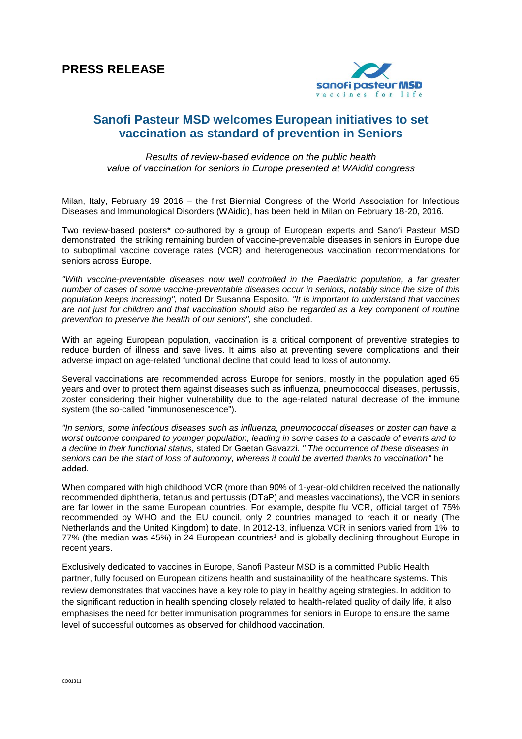

## **Sanofi Pasteur MSD welcomes European initiatives to set vaccination as standard of prevention in Seniors**

*Results of review-based evidence on the public health value of vaccination for seniors in Europe presented at WAidid congress*

Milan, Italy, February 19 2016 – the first Biennial Congress of the World Association for Infectious Diseases and Immunological Disorders (WAidid), has been held in Milan on February 18-20, 2016.

Two review-based posters\* co-authored by a group of European experts and Sanofi Pasteur MSD demonstrated the striking remaining burden of vaccine-preventable diseases in seniors in Europe due to suboptimal vaccine coverage rates (VCR) and heterogeneous vaccination recommendations for seniors across Europe.

*"With vaccine-preventable diseases now well controlled in the Paediatric population, a far greater number of cases of some vaccine-preventable diseases occur in seniors, notably since the size of this population keeps increasing",* noted Dr Susanna Esposito*. "It is important to understand that vaccines are not just for children and that vaccination should also be regarded as a key component of routine prevention to preserve the health of our seniors",* she concluded.

With an ageing European population, vaccination is a critical component of preventive strategies to reduce burden of illness and save lives. It aims also at preventing severe complications and their adverse impact on age-related functional decline that could lead to loss of autonomy.

Several vaccinations are recommended across Europe for seniors, mostly in the population aged 65 years and over to protect them against diseases such as influenza, pneumococcal diseases, pertussis, zoster considering their higher vulnerability due to the age-related natural decrease of the immune system (the so-called "immunosenescence").

*"In seniors, some infectious diseases such as influenza, pneumococcal diseases or zoster can have a worst outcome compared to younger population, leading in some cases to a cascade of events and to a decline in their functional status,* stated Dr Gaetan Gavazzi*. " The occurrence of these diseases in seniors can be the start of loss of autonomy, whereas it could be averted thanks to vaccination"* he added.

When compared with high childhood VCR (more than 90% of 1-year-old children received the nationally recommended diphtheria, tetanus and pertussis (DTaP) and measles vaccinations), the VCR in seniors are far lower in the same European countries. For example, despite flu VCR, official target of 75% recommended by WHO and the EU council, only 2 countries managed to reach it or nearly (The Netherlands and the United Kingdom) to date. In 2012-13, influenza VCR in seniors varied from 1% to 77% (the median was 45%) in 24 European countries<sup>1</sup> and is globally declining throughout Europe in recent years.

Exclusively dedicated to vaccines in Europe, Sanofi Pasteur MSD is a committed Public Health partner, fully focused on European citizens health and sustainability of the healthcare systems. This review demonstrates that vaccines have a key role to play in healthy ageing strategies. In addition to the significant reduction in health spending closely related to health-related quality of daily life, it also emphasises the need for better immunisation programmes for seniors in Europe to ensure the same level of successful outcomes as observed for childhood vaccination.